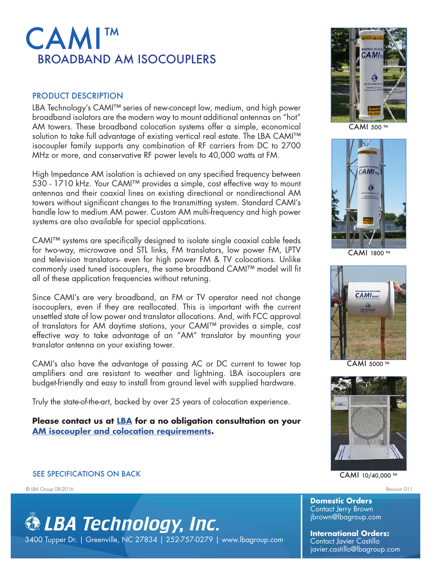## CAMI ™ BROADBAND AM ISOCOUPLERS

## PRODUCT DESCRIPTION

LBA Technology's CAMI™ series of new-concept low, medium, and high power broadband isolators are the modern way to mount additional antennas on "hot" AM towers. These broadband colocation systems offer a simple, economical solution to take full advantage of existing vertical real estate. The LBA CAMI™ isocoupler family supports any combination of RF carriers from DC to 2700 MHz or more, and conservative RF power levels to 40,000 watts at FM.

High Impedance AM isolation is achieved on any specified frequency between 530 - 1710 kHz. Your CAMI™ provides a simple, cost effective way to mount antennas and their coaxial lines on existing directional or nondirectional AM towers without significant changes to the transmitting system. Standard CAMI's handle low to medium AM power. Custom AM multi-frequency and high power systems are also available for special applications.

CAMI™ systems are specifically designed to isolate single coaxial cable feeds for two-way, microwave and STL links, FM translators, low power FM, LPTV and television translators- even for high power FM & TV colocations. Unlike commonly used tuned isocouplers, the same broadband CAMI™ model will fit all of these application frequencies without retuning.

Since CAMI's are very broadband, an FM or TV operator need not change isocouplers, even if they are reallocated. This is important with the current unsettled state of low power and translator allocations. And, with FCC approval of translators for AM daytime stations, your CAMI™ provides a simple, cost effective way to take advantage of an "AM" translator by mounting your translator antenna on your existing tower.

CAMI's also have the advantage of passing AC or DC current to tower top amplifiers and are resistant to weather and lightning. LBA isocouplers are budget-friendly and easy to install from ground level with supplied hardware.

Truly the state-of-the-art, backed by over 25 years of colocation experience.

**Please contact us at LBA for a no obligation consultation on your AM isocoupler and colocation requirements.**

## SEE SPECIFICATIONS ON BACK

© LBA Group 08-2016 Revision 011





CAMI 500 ™



CAMI 1800 ™



CAMI 5000 ™



## CAMI 10/40,000 ™

**Domestic Orders** Contact Jerry Brown jbrown@lbagroup.com

**International Orders:**  Contact Javier Castillo javier.castillo@lbagroup.com